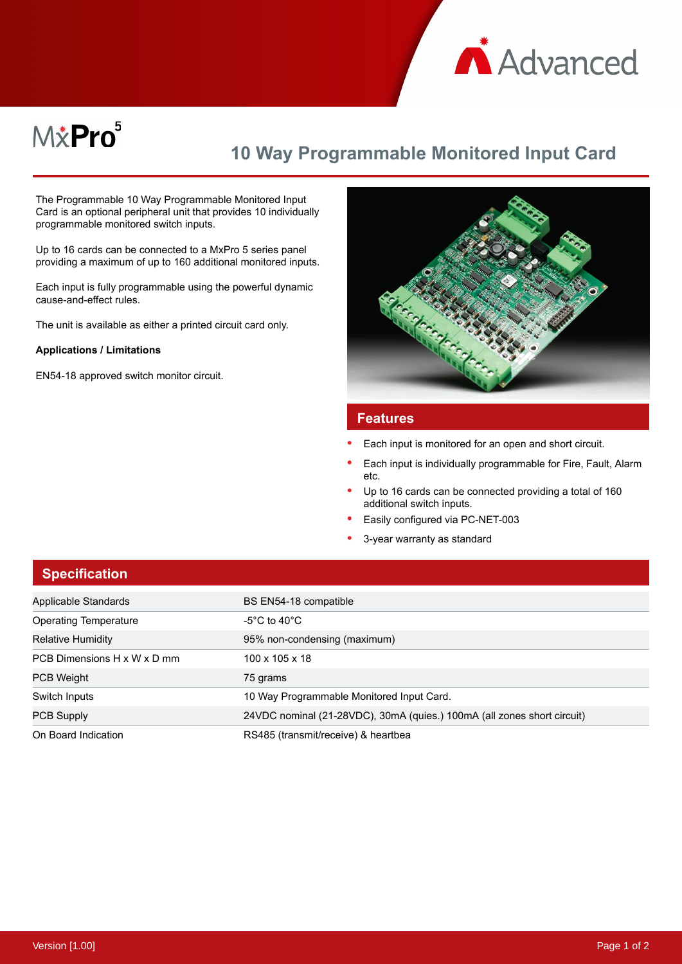

# M&Pro<sup>5</sup>

## **10 Way Programmable Monitored Input Card**

The Programmable 10 Way Programmable Monitored Input Card is an optional peripheral unit that provides 10 individually programmable monitored switch inputs.

Up to 16 cards can be connected to a MxPro 5 series panel providing a maximum of up to 160 additional monitored inputs.

Each input is fully programmable using the powerful dynamic cause-and-effect rules.

The unit is available as either a printed circuit card only.

#### **Applications / Limitations**

EN54-18 approved switch monitor circuit.



#### **Features**

- Each input is monitored for an open and short circuit.
- Each input is individually programmable for Fire, Fault, Alarm etc.
- Up to 16 cards can be connected providing a total of 160 additional switch inputs.
- Easily configured via PC-NET-003
- 3-year warranty as standard

| <b>Specification</b>        |                                                                         |
|-----------------------------|-------------------------------------------------------------------------|
| Applicable Standards        | BS EN54-18 compatible                                                   |
| Operating Temperature       | -5°C to 40°C                                                            |
| <b>Relative Humidity</b>    | 95% non-condensing (maximum)                                            |
| PCB Dimensions H x W x D mm | 100 x 105 x 18                                                          |
| <b>PCB Weight</b>           | 75 grams                                                                |
| Switch Inputs               | 10 Way Programmable Monitored Input Card.                               |
| <b>PCB Supply</b>           | 24VDC nominal (21-28VDC), 30mA (quies.) 100mA (all zones short circuit) |
| On Board Indication         | RS485 (transmit/receive) & heartbea                                     |